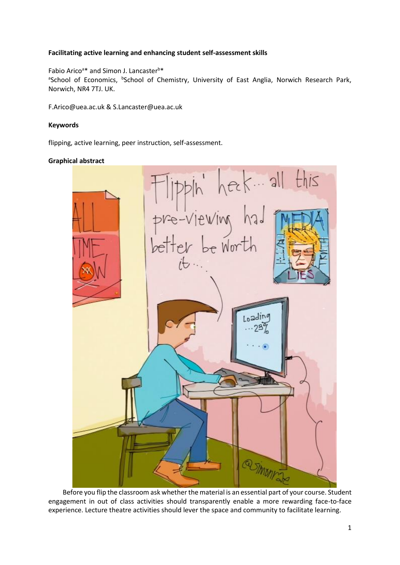# **Facilitating active learning and enhancing student self-assessment skills**

# Fabio Arico<sup>a\*</sup> and Simon J. Lancaster<sup>b\*</sup>

<sup>a</sup>School of Economics, <sup>b</sup>School of Chemistry, University of East Anglia, Norwich Research Park, Norwich, NR4 7TJ. UK.

F.Arico@uea.ac.uk & S.Lancaster@uea.ac.uk

# **Keywords**

flipping, active learning, peer instruction, self-assessment.

# **Graphical abstract**



Before you flip the classroom ask whether the material is an essential part of your course. Student engagement in out of class activities should transparently enable a more rewarding face-to-face experience. Lecture theatre activities should lever the space and community to facilitate learning.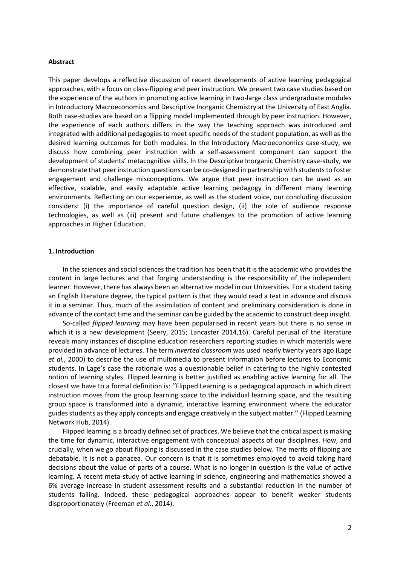#### **Abstract**

This paper develops a reflective discussion of recent developments of active learning pedagogical approaches, with a focus on class-flipping and peer instruction. We present two case studies based on the experience of the authors in promoting active learning in two-large class undergraduate modules in Introductory Macroeconomics and Descriptive Inorganic Chemistry at the University of East Anglia. Both case-studies are based on a flipping model implemented through by peer instruction. However, the experience of each authors differs in the way the teaching approach was introduced and integrated with additional pedagogies to meet specific needs of the student population, as well as the desired learning outcomes for both modules. In the Introductory Macroeconomics case-study, we discuss how combining peer instruction with a self-assessment component can support the development of students' metacognitive skills. In the Descriptive Inorganic Chemistry case-study, we demonstrate that peer instruction questions can be co-designed in partnership with students to foster engagement and challenge misconceptions. We argue that peer instruction can be used as an effective, scalable, and easily adaptable active learning pedagogy in different many learning environments. Reflecting on our experience, as well as the student voice, our concluding discussion considers: (i) the importance of careful question design, (ii) the role of audience response technologies, as well as (iii) present and future challenges to the promotion of active learning approaches in Higher Education.

# **1. Introduction**

In the sciences and social sciences the tradition has been that it is the academic who provides the content in large lectures and that forging understanding is the responsibility of the independent learner. However, there has always been an alternative model in our Universities. For a student taking an English literature degree, the typical pattern is that they would read a text in advance and discuss it in a seminar. Thus, much of the assimilation of content and preliminary consideration is done in advance of the contact time and the seminar can be guided by the academic to construct deep insight.

So-called *flipped learning* may have been popularised in recent years but there is no sense in which it is a new development (Seery, 2015; Lancaster 2014,16). Careful perusal of the literature reveals many instances of discipline education researchers reporting studies in which materials were provided in advance of lectures. The term *inverted classroom* was used nearly twenty years ago (Lage *et al.*, 2000) to describe the use of multimedia to present information before lectures to Economic students. In Lage's case the rationale was a questionable belief in catering to the highly contested notion of learning styles. Flipped learning is better justified as enabling active learning for all. The closest we have to a formal definition is: ''Flipped Learning is a pedagogical approach in which direct instruction moves from the group learning space to the individual learning space, and the resulting group space is transformed into a dynamic, interactive learning environment where the educator guides students as they apply concepts and engage creatively in the subject matter.'' (Flipped Learning Network Hub, 2014).

Flipped learning is a broadly defined set of practices. We believe that the critical aspect is making the time for dynamic, interactive engagement with conceptual aspects of our disciplines. How, and crucially, when we go about flipping is discussed in the case studies below. The merits of flipping are debatable. It is not a panacea. Our concern is that it is sometimes employed to avoid taking hard decisions about the value of parts of a course. What is no longer in question is the value of active learning. A recent meta-study of active learning in science, engineering and mathematics showed a 6% average increase in student assessment results and a substantial reduction in the number of students failing. Indeed, these pedagogical approaches appear to benefit weaker students disproportionately (Freeman *et al.*, 2014).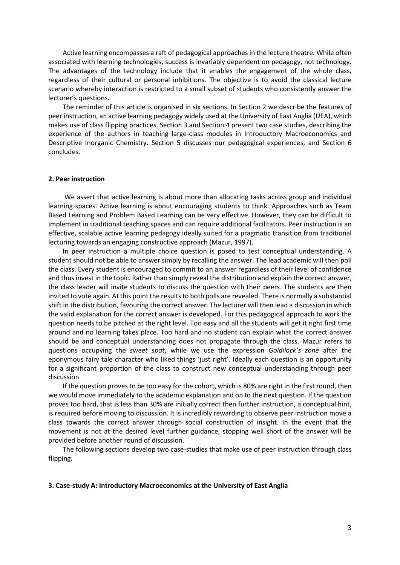Active learning encompasses a raft of pedagogical approaches in the lecture theatre. While often associated with learning technologies, success is invariably dependent on pedagogy, not technology. The advantages of the technology include that it enables the engagement of the whole class, regardless of their cultural or personal inhibitions. The objective is to avoid the classical lecture scenario whereby interaction is restricted to a small subset of students who consistently answer the lecturer's questions.

The reminder of this article is organised in six sections. In Section 2 we describe the features of peer instruction, an active learning pedagogy widely used at the University of East Anglia (UEA), which makes use of class flipping practices. Section 3 and Section 4 present two case studies, describing the experience of the authors in teaching large-class modules in Introductory Macroeconomics and Descriptive Inorganic Chemistry. Section 5 discusses our pedagogical experiences, and Section 6 concludes.

# **2. Peer instruction**

We assert that active learning is about more than allocating tasks across group and individual learning spaces. Active learning is about encouraging students to think. Approaches such as Team Based Learning and Problem Based Learning can be very effective. However, they can be difficult to implement in traditional teaching spaces and can require additional facilitators. Peer instruction is an effective, scalable active learning pedagogy ideally suited for a pragmatic transition from traditional lecturing towards an engaging constructive approach (Mazur, 1997).

In peer instruction a multiple choice question is posed to test conceptual understanding. A student should not be able to answer simply by recalling the answer. The lead academic will then poll the class. Every student is encouraged to commit to an answer regardless of their level of confidence and thus invest in the topic. Rather than simply reveal the distribution and explain the correct answer, the class leader will invite students to discuss the question with their peers. The students are then invited to vote again. At this point the results to both polls are revealed. There is normally a substantial shift in the distribution, favouring the correct answer. The lecturer will then lead a discussion in which the valid explanation for the correct answer is developed. For this pedagogical approach to work the question needs to be pitched at the right level. Too easy and all the students will get it right first time around and no learning takes place. Too hard and no student can explain what the correct answer should be and conceptual understanding does not propagate through the class. Mazur refers to questions occupying the *sweet spot*, while we use the expression *Goldilock's zone* after the eponymous fairy tale character who liked things 'just right'. Ideally each question is an opportunity for a significant proportion of the class to construct new conceptual understanding through peer discussion.

If the question proves to be too easy for the cohort, which is 80% are right in the first round, then we would move immediately to the academic explanation and on to the next question. If the question proves too hard, that is less than 30% are initially correct then further instruction, a conceptual hint, is required before moving to discussion. It is incredibly rewarding to observe peer instruction move a class towards the correct answer through social construction of insight. In the event that the movement is not at the desired level further guidance, stopping well short of the answer will be provided before another round of discussion.

The following sections develop two case-studies that make use of peer instruction through class flipping.

#### **3. Case-study A: Introductory Macroeconomics at the University of East Anglia**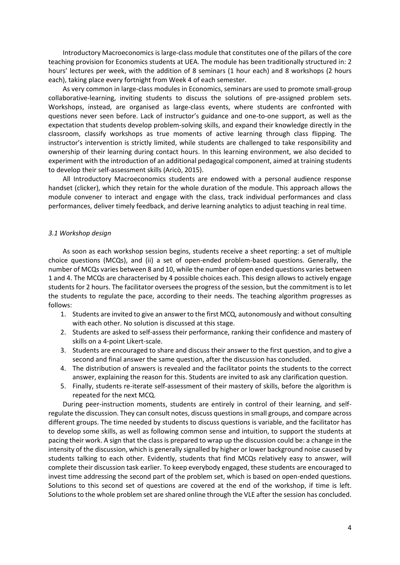Introductory Macroeconomics is large-class module that constitutes one of the pillars of the core teaching provision for Economics students at UEA. The module has been traditionally structured in: 2 hours' lectures per week, with the addition of 8 seminars (1 hour each) and 8 workshops (2 hours each), taking place every fortnight from Week 4 of each semester.

As very common in large-class modules in Economics, seminars are used to promote small-group collaborative-learning, inviting students to discuss the solutions of pre-assigned problem sets. Workshops, instead, are organised as large-class events, where students are confronted with questions never seen before. Lack of instructor's guidance and one-to-one support, as well as the expectation that students develop problem-solving skills, and expand their knowledge directly in the classroom, classify workshops as true moments of active learning through class flipping. The instructor's intervention is strictly limited, while students are challenged to take responsibility and ownership of their learning during contact hours. In this learning environment, we also decided to experiment with the introduction of an additional pedagogical component, aimed at training students to develop their self-assessment skills (Aricò, 2015).

All Introductory Macroeconomics students are endowed with a personal audience response handset (clicker), which they retain for the whole duration of the module. This approach allows the module convener to interact and engage with the class, track individual performances and class performances, deliver timely feedback, and derive learning analytics to adjust teaching in real time.

#### *3.1 Workshop design*

As soon as each workshop session begins, students receive a sheet reporting: a set of multiple choice questions (MCQs), and (ii) a set of open-ended problem-based questions. Generally, the number of MCQs varies between 8 and 10, while the number of open ended questions varies between 1 and 4. The MCQs are characterised by 4 possible choices each. This design allows to actively engage students for 2 hours. The facilitator oversees the progress of the session, but the commitment is to let the students to regulate the pace, according to their needs. The teaching algorithm progresses as follows:

- 1. Students are invited to give an answer to the first MCQ, autonomously and without consulting with each other. No solution is discussed at this stage.
- 2. Students are asked to self-assess their performance, ranking their confidence and mastery of skills on a 4-point Likert-scale.
- 3. Students are encouraged to share and discuss their answer to the first question, and to give a second and final answer the same question, after the discussion has concluded.
- 4. The distribution of answers is revealed and the facilitator points the students to the correct answer, explaining the reason for this. Students are invited to ask any clarification question.
- 5. Finally, students re-iterate self-assessment of their mastery of skills, before the algorithm is repeated for the next MCQ.

During peer-instruction moments, students are entirely in control of their learning, and selfregulate the discussion. They can consult notes, discuss questions in small groups, and compare across different groups. The time needed by students to discuss questions is variable, and the facilitator has to develop some skills, as well as following common sense and intuition, to support the students at pacing their work. A sign that the class is prepared to wrap up the discussion could be: a change in the intensity of the discussion, which is generally signalled by higher or lower background noise caused by students talking to each other. Evidently, students that find MCQs relatively easy to answer, will complete their discussion task earlier. To keep everybody engaged, these students are encouraged to invest time addressing the second part of the problem set, which is based on open-ended questions. Solutions to this second set of questions are covered at the end of the workshop, if time is left. Solutions to the whole problem set are shared online through the VLE after the session has concluded.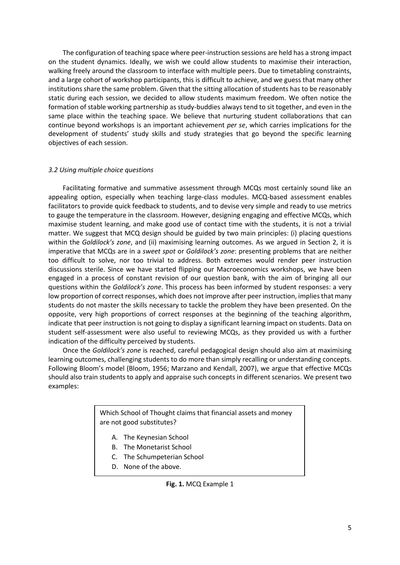The configuration of teaching space where peer-instruction sessions are held has a strong impact on the student dynamics. Ideally, we wish we could allow students to maximise their interaction, walking freely around the classroom to interface with multiple peers. Due to timetabling constraints, and a large cohort of workshop participants, this is difficult to achieve, and we guess that many other institutions share the same problem. Given that the sitting allocation of students has to be reasonably static during each session, we decided to allow students maximum freedom. We often notice the formation of stable working partnership as study-buddies always tend to sit together, and even in the same place within the teaching space. We believe that nurturing student collaborations that can continue beyond workshops is an important achievement *per se*, which carries implications for the development of students' study skills and study strategies that go beyond the specific learning objectives of each session.

# *3.2 Using multiple choice questions*

Facilitating formative and summative assessment through MCQs most certainly sound like an appealing option, especially when teaching large-class modules. MCQ-based assessment enables facilitators to provide quick feedback to students, and to devise very simple and ready to use metrics to gauge the temperature in the classroom. However, designing engaging and effective MCQs, which maximise student learning, and make good use of contact time with the students, it is not a trivial matter. We suggest that MCQ design should be guided by two main principles: (i) placing questions within the *Goldilock's zone*, and (ii) maximising learning outcomes. As we argued in Section 2, it is imperative that MCQs are in a *sweet spot* or *Goldilock's zone*: presenting problems that are neither too difficult to solve, nor too trivial to address. Both extremes would render peer instruction discussions sterile. Since we have started flipping our Macroeconomics workshops, we have been engaged in a process of constant revision of our question bank, with the aim of bringing all our questions within the *Goldilock's zone*. This process has been informed by student responses: a very low proportion of correct responses, which does not improve after peer instruction, implies that many students do not master the skills necessary to tackle the problem they have been presented. On the opposite, very high proportions of correct responses at the beginning of the teaching algorithm, indicate that peer instruction is not going to display a significant learning impact on students. Data on student self-assessment were also useful to reviewing MCQs, as they provided us with a further indication of the difficulty perceived by students.

Once the *Goldilock's zone* is reached, careful pedagogical design should also aim at maximising learning outcomes, challenging students to do more than simply recalling or understanding concepts. Following Bloom's model (Bloom, 1956; Marzano and Kendall, 2007), we argue that effective MCQs should also train students to apply and appraise such concepts in different scenarios. We present two examples:

> Which School of Thought claims that financial assets and money are not good substitutes?

- A. The Keynesian School
- B. The Monetarist School
- C. The Schumpeterian School
- D. None of the above.

## **Fig. 1.** MCQ Example 1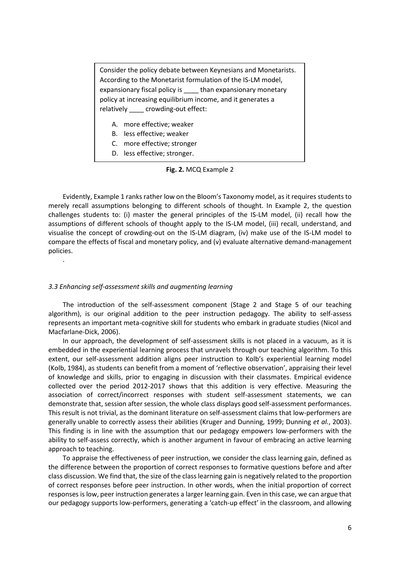Consider the policy debate between Keynesians and Monetarists. According to the Monetarist formulation of the IS-LM model, expansionary fiscal policy is than expansionary monetary policy at increasing equilibrium income, and it generates a relatively \_\_\_\_ crowding-out effect:

- A. more effective; weaker
- B. less effective; weaker
- C. more effective; stronger
- D. less effective; stronger.

## **Fig. 2.** MCQ Example 2

Evidently, Example 1 ranks rather low on the Bloom's Taxonomy model, as it requires students to merely recall assumptions belonging to different schools of thought. In Example 2, the question challenges students to: (i) master the general principles of the IS-LM model, (ii) recall how the assumptions of different schools of thought apply to the IS-LM model, (iii) recall, understand, and visualise the concept of crowding-out on the IS-LM diagram, (iv) make use of the IS-LM model to compare the effects of fiscal and monetary policy, and (v) evaluate alternative demand-management policies.

#### *3.3 Enhancing self-assessment skills and augmenting learning*

.

The introduction of the self-assessment component (Stage 2 and Stage 5 of our teaching algorithm), is our original addition to the peer instruction pedagogy. The ability to self-assess represents an important meta-cognitive skill for students who embark in graduate studies (Nicol and Macfarlane‐Dick, 2006).

In our approach, the development of self-assessment skills is not placed in a vacuum, as it is embedded in the experiential learning process that unravels through our teaching algorithm. To this extent, our self-assessment addition aligns peer instruction to Kolb's experiential learning model (Kolb, 1984), as students can benefit from a moment of 'reflective observation', appraising their level of knowledge and skills, prior to engaging in discussion with their classmates. Empirical evidence collected over the period 2012-2017 shows that this addition is very effective. Measuring the association of correct/incorrect responses with student self-assessment statements, we can demonstrate that, session after session, the whole class displays good self-assessment performances. This result is not trivial, as the dominant literature on self-assessment claims that low-performers are generally unable to correctly assess their abilities (Kruger and Dunning, 1999; Dunning *et al.*, 2003). This finding is in line with the assumption that our pedagogy empowers low-performers with the ability to self-assess correctly, which is another argument in favour of embracing an active learning approach to teaching.

To appraise the effectiveness of peer instruction, we consider the class learning gain, defined as the difference between the proportion of correct responses to formative questions before and after class discussion. We find that, the size of the class learning gain is negatively related to the proportion of correct responses before peer instruction. In other words, when the initial proportion of correct responses is low, peer instruction generates a larger learning gain. Even in this case, we can argue that our pedagogy supports low-performers, generating a 'catch-up effect' in the classroom, and allowing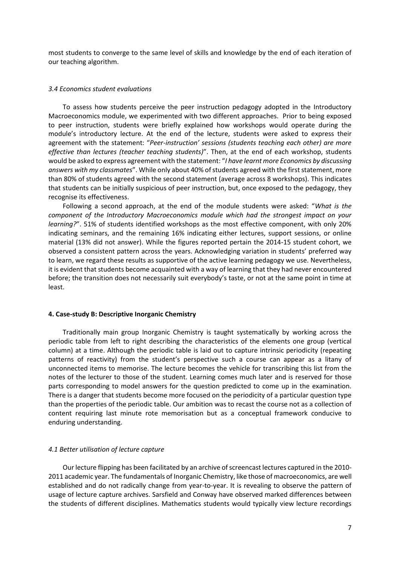most students to converge to the same level of skills and knowledge by the end of each iteration of our teaching algorithm.

#### *3.4 Economics student evaluations*

To assess how students perceive the peer instruction pedagogy adopted in the Introductory Macroeconomics module, we experimented with two different approaches. Prior to being exposed to peer instruction, students were briefly explained how workshops would operate during the module's introductory lecture. At the end of the lecture, students were asked to express their agreement with the statement: "*Peer-instruction' sessions (students teaching each other) are more effective than lectures (teacher teaching students)*". Then, at the end of each workshop, students would be asked to express agreement with the statement: "*I have learnt more Economics by discussing answers with my classmates*". While only about 40% of students agreed with the first statement, more than 80% of students agreed with the second statement (average across 8 workshops). This indicates that students can be initially suspicious of peer instruction, but, once exposed to the pedagogy, they recognise its effectiveness.

Following a second approach, at the end of the module students were asked: "*What is the component of the Introductory Macroeconomics module which had the strongest impact on your learning?*". 51% of students identified workshops as the most effective component, with only 20% indicating seminars, and the remaining 16% indicating either lectures, support sessions, or online material (13% did not answer). While the figures reported pertain the 2014-15 student cohort, we observed a consistent pattern across the years. Acknowledging variation in students' preferred way to learn, we regard these results as supportive of the active learning pedagogy we use. Nevertheless, it is evident that students become acquainted with a way of learning that they had never encountered before; the transition does not necessarily suit everybody's taste, or not at the same point in time at least.

## **4. Case-study B: Descriptive Inorganic Chemistry**

Traditionally main group Inorganic Chemistry is taught systematically by working across the periodic table from left to right describing the characteristics of the elements one group (vertical column) at a time. Although the periodic table is laid out to capture intrinsic periodicity (repeating patterns of reactivity) from the student's perspective such a course can appear as a litany of unconnected items to memorise. The lecture becomes the vehicle for transcribing this list from the notes of the lecturer to those of the student. Learning comes much later and is reserved for those parts corresponding to model answers for the question predicted to come up in the examination. There is a danger that students become more focused on the periodicity of a particular question type than the properties of the periodic table. Our ambition was to recast the course not as a collection of content requiring last minute rote memorisation but as a conceptual framework conducive to enduring understanding.

#### *4.1 Better utilisation of lecture capture*

Our lecture flipping has been facilitated by an archive of screencast lectures captured in the 2010- 2011 academic year. The fundamentals of Inorganic Chemistry, like those of macroeconomics, are well established and do not radically change from year-to-year. It is revealing to observe the pattern of usage of lecture capture archives. Sarsfield and Conway have observed marked differences between the students of different disciplines. Mathematics students would typically view lecture recordings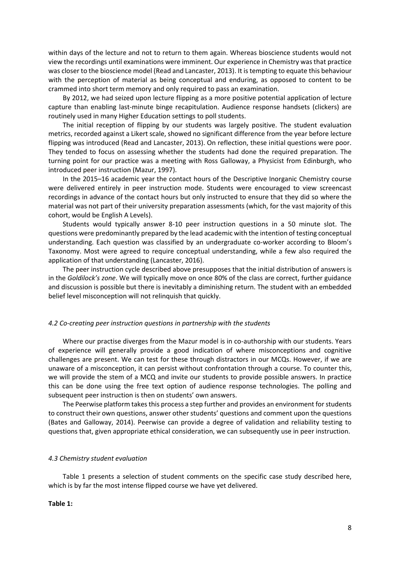within days of the lecture and not to return to them again. Whereas bioscience students would not view the recordings until examinations were imminent. Our experience in Chemistry was that practice was closer to the bioscience model (Read and Lancaster, 2013). It is tempting to equate this behaviour with the perception of material as being conceptual and enduring, as opposed to content to be crammed into short term memory and only required to pass an examination.

By 2012, we had seized upon lecture flipping as a more positive potential application of lecture capture than enabling last-minute binge recapitulation. Audience response handsets (clickers) are routinely used in many Higher Education settings to poll students.

The initial reception of flipping by our students was largely positive. The student evaluation metrics, recorded against a Likert scale, showed no significant difference from the year before lecture flipping was introduced (Read and Lancaster, 2013). On reflection, these initial questions were poor. They tended to focus on assessing whether the students had done the required preparation. The turning point for our practice was a meeting with Ross Galloway, a Physicist from Edinburgh, who introduced peer instruction (Mazur, 1997).

In the 2015–16 academic year the contact hours of the Descriptive Inorganic Chemistry course were delivered entirely in peer instruction mode. Students were encouraged to view screencast recordings in advance of the contact hours but only instructed to ensure that they did so where the material was not part of their university preparation assessments (which, for the vast majority of this cohort, would be English A Levels).

Students would typically answer 8-10 peer instruction questions in a 50 minute slot. The questions were predominantly prepared by the lead academic with the intention of testing conceptual understanding. Each question was classified by an undergraduate co-worker according to Bloom's Taxonomy. Most were agreed to require conceptual understanding, while a few also required the application of that understanding (Lancaster, 2016).

The peer instruction cycle described above presupposes that the initial distribution of answers is in the *Goldilock's zone*. We will typically move on once 80% of the class are correct, further guidance and discussion is possible but there is inevitably a diminishing return. The student with an embedded belief level misconception will not relinquish that quickly.

#### *4.2 Co-creating peer instruction questions in partnership with the students*

Where our practise diverges from the Mazur model is in co-authorship with our students. Years of experience will generally provide a good indication of where misconceptions and cognitive challenges are present. We can test for these through distractors in our MCQs. However, if we are unaware of a misconception, it can persist without confrontation through a course. To counter this, we will provide the stem of a MCQ and invite our students to provide possible answers. In practice this can be done using the free text option of audience response technologies. The polling and subsequent peer instruction is then on students' own answers.

The Peerwise platform takes this process a step further and provides an environment for students to construct their own questions, answer other students' questions and comment upon the questions (Bates and Galloway, 2014). Peerwise can provide a degree of validation and reliability testing to questions that, given appropriate ethical consideration, we can subsequently use in peer instruction.

#### *4.3 Chemistry student evaluation*

Table 1 presents a selection of student comments on the specific case study described here, which is by far the most intense flipped course we have yet delivered.

#### **Table 1:**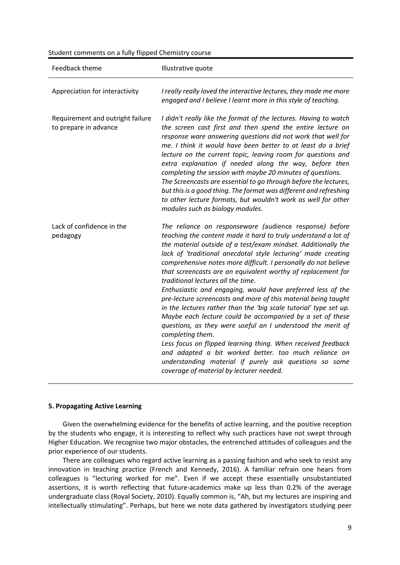| Student comments on a fully flipped Chemistry course |  |  |  |  |
|------------------------------------------------------|--|--|--|--|
|------------------------------------------------------|--|--|--|--|

| Feedback theme                                            | Illustrative quote                                                                                                                                                                                                                                                                                                                                                                                                                                                                                                                                                                                                                                                                                                                                                                                                                                                                                                                                                                                                        |
|-----------------------------------------------------------|---------------------------------------------------------------------------------------------------------------------------------------------------------------------------------------------------------------------------------------------------------------------------------------------------------------------------------------------------------------------------------------------------------------------------------------------------------------------------------------------------------------------------------------------------------------------------------------------------------------------------------------------------------------------------------------------------------------------------------------------------------------------------------------------------------------------------------------------------------------------------------------------------------------------------------------------------------------------------------------------------------------------------|
| Appreciation for interactivity                            | I really really loved the interactive lectures, they made me more<br>engaged and I believe I learnt more in this style of teaching.                                                                                                                                                                                                                                                                                                                                                                                                                                                                                                                                                                                                                                                                                                                                                                                                                                                                                       |
| Requirement and outright failure<br>to prepare in advance | I didn't really like the format of the lectures. Having to watch<br>the screen cast first and then spend the entire lecture on<br>response ware answering questions did not work that well for<br>me. I think it would have been better to at least do a brief<br>lecture on the current topic, leaving room for questions and<br>extra explanation if needed along the way, before then<br>completing the session with maybe 20 minutes of questions.<br>The Screencasts are essential to go through before the lectures,<br>but this is a good thing. The format was different and refreshing<br>to other lecture formats, but wouldn't work as well for other<br>modules such as biology modules.                                                                                                                                                                                                                                                                                                                      |
| Lack of confidence in the<br>pedagogy                     | The reliance on responseware (audience response) before<br>teaching the content made it hard to truly understand a lot of<br>the material outside of a test/exam mindset. Additionally the<br>lack of 'traditional anecdotal style lecturing' made creating<br>comprehensive notes more difficult. I personally do not believe<br>that screencasts are an equivalent worthy of replacement for<br>traditional lectures all the time.<br>Enthusiastic and engaging, would have preferred less of the<br>pre-lecture screencasts and more of this material being taught<br>in the lectures rather than the 'big scale tutorial' type set up.<br>Maybe each lecture could be accompanied by a set of these<br>questions, as they were useful an I understood the merit of<br>completing them.<br>Less focus on flipped learning thing. When received feedback<br>and adapted a bit worked better. too much reliance on<br>understanding material if purely ask questions so some<br>coverage of material by lecturer needed. |

## **5. Propagating Active Learning**

Given the overwhelming evidence for the benefits of active learning, and the positive reception by the students who engage, it is interesting to reflect why such practices have not swept through Higher Education. We recognise two major obstacles, the entrenched attitudes of colleagues and the prior experience of our students.

There are colleagues who regard active learning as a passing fashion and who seek to resist any innovation in teaching practice (French and Kennedy, 2016). A familiar refrain one hears from colleagues is "lecturing worked for me". Even if we accept these essentially unsubstantiated assertions, it is worth reflecting that future-academics make up less than 0.2% of the average undergraduate class (Royal Society, 2010). Equally common is, "Ah, but my lectures are inspiring and intellectually stimulating". Perhaps, but here we note data gathered by investigators studying peer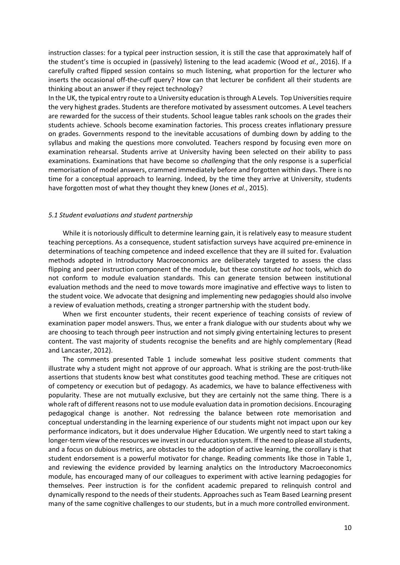instruction classes: for a typical peer instruction session, it is still the case that approximately half of the student's time is occupied in (passively) listening to the lead academic (Wood *et al.*, 2016). If a carefully crafted flipped session contains so much listening, what proportion for the lecturer who inserts the occasional off-the-cuff query? How can that lecturer be confident all their students are thinking about an answer if they reject technology?

In the UK, the typical entry route to a University education is through A Levels. Top Universities require the very highest grades. Students are therefore motivated by assessment outcomes. A Level teachers are rewarded for the success of their students. School league tables rank schools on the grades their students achieve. Schools become examination factories. This process creates inflationary pressure on grades. Governments respond to the inevitable accusations of dumbing down by adding to the syllabus and making the questions more convoluted. Teachers respond by focusing even more on examination rehearsal. Students arrive at University having been selected on their ability to pass examinations. Examinations that have become so *challenging* that the only response is a superficial memorisation of model answers, crammed immediately before and forgotten within days. There is no time for a conceptual approach to learning. Indeed, by the time they arrive at University, students have forgotten most of what they thought they knew (Jones *et al.*, 2015).

#### *5.1 Student evaluations and student partnership*

While it is notoriously difficult to determine learning gain, it is relatively easy to measure student teaching perceptions. As a consequence, student satisfaction surveys have acquired pre-eminence in determinations of teaching competence and indeed excellence that they are ill suited for. Evaluation methods adopted in Introductory Macroeconomics are deliberately targeted to assess the class flipping and peer instruction component of the module, but these constitute *ad hoc* tools, which do not conform to module evaluation standards. This can generate tension between institutional evaluation methods and the need to move towards more imaginative and effective ways to listen to the student voice. We advocate that designing and implementing new pedagogies should also involve a review of evaluation methods, creating a stronger partnership with the student body.

When we first encounter students, their recent experience of teaching consists of review of examination paper model answers. Thus, we enter a frank dialogue with our students about why we are choosing to teach through peer instruction and not simply giving entertaining lectures to present content. The vast majority of students recognise the benefits and are highly complementary (Read and Lancaster, 2012).

The comments presented Table 1 include somewhat less positive student comments that illustrate why a student might not approve of our approach. What is striking are the post-truth-like assertions that students know best what constitutes good teaching method. These are critiques not of competency or execution but of pedagogy. As academics, we have to balance effectiveness with popularity. These are not mutually exclusive, but they are certainly not the same thing. There is a whole raft of different reasons not to use module evaluation data in promotion decisions. Encouraging pedagogical change is another. Not redressing the balance between rote memorisation and conceptual understanding in the learning experience of our students might not impact upon our key performance indicators, but it does undervalue Higher Education. We urgently need to start taking a longer-term view of the resources we invest in our education system. If the need to please all students, and a focus on dubious metrics, are obstacles to the adoption of active learning, the corollary is that student endorsement is a powerful motivator for change. Reading comments like those in Table 1, and reviewing the evidence provided by learning analytics on the Introductory Macroeconomics module, has encouraged many of our colleagues to experiment with active learning pedagogies for themselves. Peer instruction is for the confident academic prepared to relinquish control and dynamically respond to the needs of their students. Approaches such as Team Based Learning present many of the same cognitive challenges to our students, but in a much more controlled environment.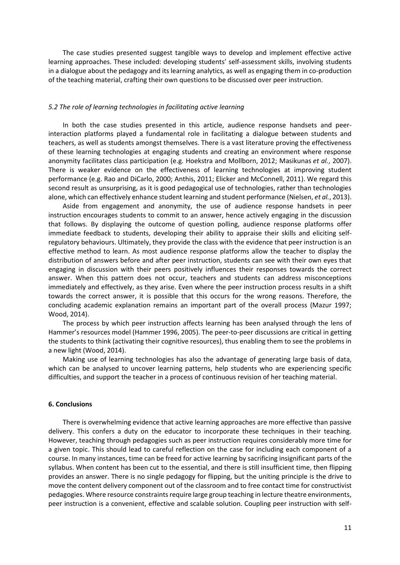The case studies presented suggest tangible ways to develop and implement effective active learning approaches. These included: developing students' self-assessment skills, involving students in a dialogue about the pedagogy and its learning analytics, as well as engaging them in co-production of the teaching material, crafting their own questions to be discussed over peer instruction.

## *5.2 The role of learning technologies in facilitating active learning*

In both the case studies presented in this article, audience response handsets and peerinteraction platforms played a fundamental role in facilitating a dialogue between students and teachers, as well as students amongst themselves. There is a vast literature proving the effectiveness of these learning technologies at engaging students and creating an environment where response anonymity facilitates class participation (e.g. Hoekstra and Mollborn, 2012; Masikunas *et al.*, 2007). There is weaker evidence on the effectiveness of learning technologies at improving student performance (e.g. Rao and DiCarlo, 2000; Anthis, 2011; Elicker and McConnell, 2011). We regard this second result as unsurprising, as it is good pedagogical use of technologies, rather than technologies alone, which can effectively enhance student learning and student performance (Nielsen, *et al.*, 2013).

Aside from engagement and anonymity, the use of audience response handsets in peer instruction encourages students to commit to an answer, hence actively engaging in the discussion that follows. By displaying the outcome of question polling, audience response platforms offer immediate feedback to students, developing their ability to appraise their skills and eliciting selfregulatory behaviours. Ultimately, they provide the class with the evidence that peer instruction is an effective method to learn. As most audience response platforms allow the teacher to display the distribution of answers before and after peer instruction, students can see with their own eyes that engaging in discussion with their peers positively influences their responses towards the correct answer. When this pattern does not occur, teachers and students can address misconceptions immediately and effectively, as they arise. Even where the peer instruction process results in a shift towards the correct answer, it is possible that this occurs for the wrong reasons. Therefore, the concluding academic explanation remains an important part of the overall process (Mazur 1997; Wood, 2014).

The process by which peer instruction affects learning has been analysed through the lens of Hammer's resources model (Hammer 1996, 2005). The peer-to-peer discussions are critical in getting the students to think (activating their cognitive resources), thus enabling them to see the problems in a new light (Wood, 2014).

Making use of learning technologies has also the advantage of generating large basis of data, which can be analysed to uncover learning patterns, help students who are experiencing specific difficulties, and support the teacher in a process of continuous revision of her teaching material.

## **6. Conclusions**

There is overwhelming evidence that active learning approaches are more effective than passive delivery. This confers a duty on the educator to incorporate these techniques in their teaching. However, teaching through pedagogies such as peer instruction requires considerably more time for a given topic. This should lead to careful reflection on the case for including each component of a course. In many instances, time can be freed for active learning by sacrificing insignificant parts of the syllabus. When content has been cut to the essential, and there is still insufficient time, then flipping provides an answer. There is no single pedagogy for flipping, but the uniting principle is the drive to move the content delivery component out of the classroom and to free contact time for constructivist pedagogies. Where resource constraints require large group teaching in lecture theatre environments, peer instruction is a convenient, effective and scalable solution. Coupling peer instruction with self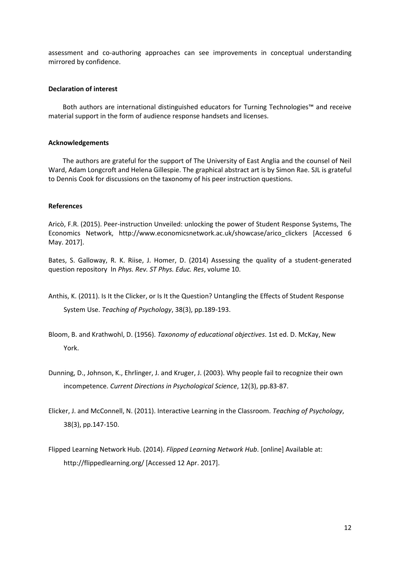assessment and co-authoring approaches can see improvements in conceptual understanding mirrored by confidence.

# **Declaration of interest**

Both authors are international distinguished educators for Turning Technologies™ and receive material support in the form of audience response handsets and licenses.

## **Acknowledgements**

The authors are grateful for the support of The University of East Anglia and the counsel of Neil Ward, Adam Longcroft and Helena Gillespie. The graphical abstract art is by Simon Rae. SJL is grateful to Dennis Cook for discussions on the taxonomy of his peer instruction questions.

## **References**

Aricò, F.R. (2015). Peer-instruction Unveiled: unlocking the power of Student Response Systems, The Economics Network, http://www.economicsnetwork.ac.uk/showcase/arico\_clickers [Accessed 6 May. 2017].

Bates, S. Galloway, R. K. Riise, J. Homer, D. (2014) Assessing the quality of a student-generated question repository In *Phys. Rev. ST Phys. Educ. Res*, volume 10.

- Anthis, K. (2011). Is It the Clicker, or Is It the Question? Untangling the Effects of Student Response System Use. *Teaching of Psychology*, 38(3), pp.189-193.
- Bloom, B. and Krathwohl, D. (1956). *Taxonomy of educational objectives*. 1st ed. D. McKay, New York.
- Dunning, D., Johnson, K., Ehrlinger, J. and Kruger, J. (2003). Why people fail to recognize their own incompetence. *Current Directions in Psychological Science*, 12(3), pp.83-87.
- Elicker, J. and McConnell, N. (2011). Interactive Learning in the Classroom. *Teaching of Psychology*, 38(3), pp.147-150.
- Flipped Learning Network Hub. (2014). *Flipped Learning Network Hub*. [online] Available at: http://flippedlearning.org/ [Accessed 12 Apr. 2017].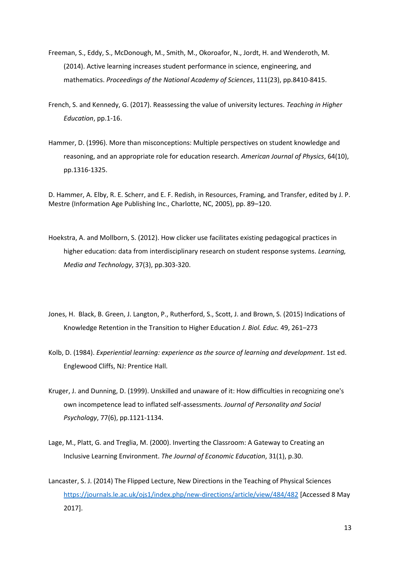- Freeman, S., Eddy, S., McDonough, M., Smith, M., Okoroafor, N., Jordt, H. and Wenderoth, M. (2014). Active learning increases student performance in science, engineering, and mathematics. *Proceedings of the National Academy of Sciences*, 111(23), pp.8410-8415.
- French, S. and Kennedy, G. (2017). Reassessing the value of university lectures. *Teaching in Higher Education*, pp.1-16.
- Hammer, D. (1996). More than misconceptions: Multiple perspectives on student knowledge and reasoning, and an appropriate role for education research. *American Journal of Physics*, 64(10), pp.1316-1325.

D. Hammer, A. Elby, R. E. Scherr, and E. F. Redish, in Resources, Framing, and Transfer, edited by J. P. Mestre (Information Age Publishing Inc., Charlotte, NC, 2005), pp. 89–120.

- Hoekstra, A. and Mollborn, S. (2012). How clicker use facilitates existing pedagogical practices in higher education: data from interdisciplinary research on student response systems. *Learning, Media and Technology*, 37(3), pp.303-320.
- Jones, H. Black, B. Green, J. Langton, P., Rutherford, S., Scott, J. and Brown, S. (2015) Indications of Knowledge Retention in the Transition to Higher Education *J. Biol. Educ.* 49, 261–273
- Kolb, D. (1984). *Experiential learning: experience as the source of learning and development*. 1st ed. Englewood Cliffs, NJ: Prentice Hall.
- Kruger, J. and Dunning, D. (1999). Unskilled and unaware of it: How difficulties in recognizing one's own incompetence lead to inflated self-assessments. *Journal of Personality and Social Psychology*, 77(6), pp.1121-1134.
- Lage, M., Platt, G. and Treglia, M. (2000). Inverting the Classroom: A Gateway to Creating an Inclusive Learning Environment. *The Journal of Economic Education*, 31(1), p.30.
- Lancaster, S. J. (2014) The Flipped Lecture, New Directions in the Teaching of Physical Sciences <https://journals.le.ac.uk/ojs1/index.php/new-directions/article/view/484/482> [Accessed 8 May 2017].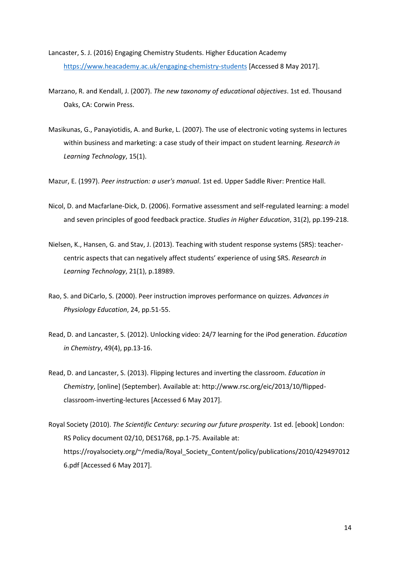- Lancaster, S. J. (2016) Engaging Chemistry Students. Higher Education Academy <https://www.heacademy.ac.uk/engaging-chemistry-students> [Accessed 8 May 2017].
- Marzano, R. and Kendall, J. (2007). *The new taxonomy of educational objectives*. 1st ed. Thousand Oaks, CA: Corwin Press.
- Masikunas, G., Panayiotidis, A. and Burke, L. (2007). The use of electronic voting systems in lectures within business and marketing: a case study of their impact on student learning. *Research in Learning Technology*, 15(1).

Mazur, E. (1997). *Peer instruction: a user's manual*. 1st ed. Upper Saddle River: Prentice Hall.

- Nicol, D. and Macfarlane‐Dick, D. (2006). Formative assessment and self‐regulated learning: a model and seven principles of good feedback practice. *Studies in Higher Education*, 31(2), pp.199-218.
- Nielsen, K., Hansen, G. and Stav, J. (2013). Teaching with student response systems (SRS): teachercentric aspects that can negatively affect students' experience of using SRS. *Research in Learning Technology*, 21(1), p.18989.
- Rao, S. and DiCarlo, S. (2000). Peer instruction improves performance on quizzes. *Advances in Physiology Education*, 24, pp.51-55.
- Read, D. and Lancaster, S. (2012). Unlocking video: 24/7 learning for the iPod generation. *Education in Chemistry*, 49(4), pp.13-16.
- Read, D. and Lancaster, S. (2013). Flipping lectures and inverting the classroom. *Education in Chemistry*, [online] (September). Available at: http://www.rsc.org/eic/2013/10/flippedclassroom-inverting-lectures [Accessed 6 May 2017].
- Royal Society (2010). *The Scientific Century: securing our future prosperity*. 1st ed. [ebook] London: RS Policy document 02/10, DES1768, pp.1-75. Available at: https://royalsociety.org/~/media/Royal\_Society\_Content/policy/publications/2010/429497012 6.pdf [Accessed 6 May 2017].